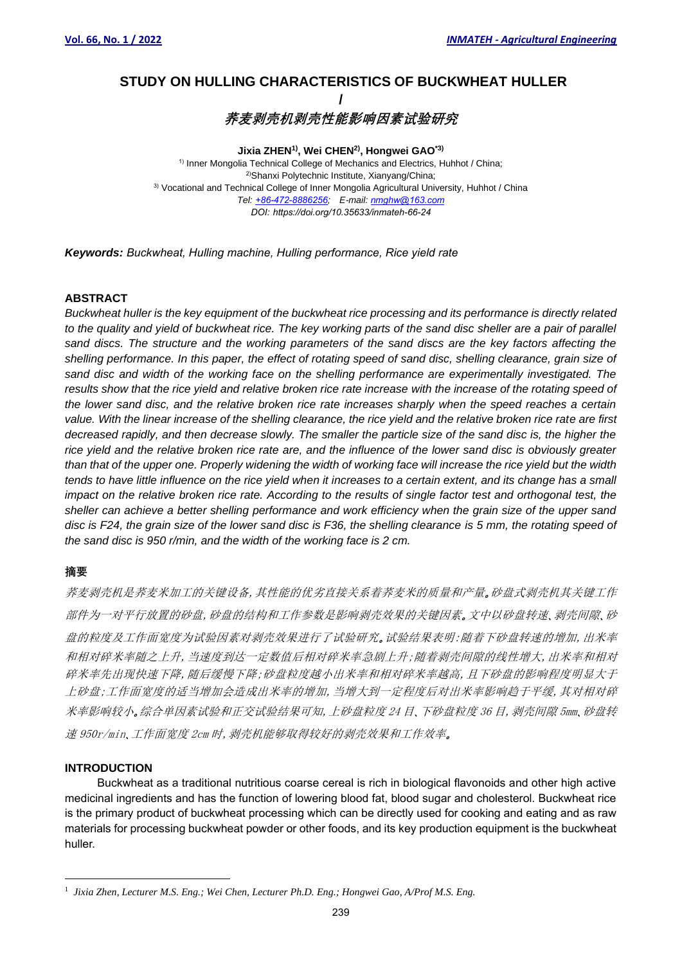# **<sup>1</sup>STUDY ON HULLING CHARACTERISTICS OF BUCKWHEAT HULLER /**

**荞麦剥壳机剥壳性能影响因素试验研究**

**Jixia ZHEN1), Wei CHEN2), Hongwei GAO\*3)** <sup>1)</sup> Inner Mongolia Technical College of Mechanics and Electrics, Huhhot / China; 2)Shanxi Polytechnic Institute, Xianyang/China; 3) Vocational and Technical College of Inner Mongolia Agricultural University, Huhhot / China *Tel: [+86-472-8886256;](mailto:Tel:%20+86-472-8886256) E-mail[: nmghw@163.com](mailto:nmghw@163.com) DOI: https://doi.org/10.35633/inmateh-66-24*

*Keywords: Buckwheat, Hulling machine, Hulling performance, Rice yield rate*

# **ABSTRACT**

*Buckwheat huller is the key equipment of the buckwheat rice processing and its performance is directly related to the quality and yield of buckwheat rice. The key working parts of the sand disc sheller are a pair of parallel sand discs. The structure and the working parameters of the sand discs are the key factors affecting the shelling performance. In this paper, the effect of rotating speed of sand disc, shelling clearance, grain size of sand disc and width of the working face on the shelling performance are experimentally investigated. The results show that the rice yield and relative broken rice rate increase with the increase of the rotating speed of the lower sand disc, and the relative broken rice rate increases sharply when the speed reaches a certain value. With the linear increase of the shelling clearance, the rice yield and the relative broken rice rate are first decreased rapidly, and then decrease slowly. The smaller the particle size of the sand disc is, the higher the rice yield and the relative broken rice rate are, and the influence of the lower sand disc is obviously greater than that of the upper one. Properly widening the width of working face will increase the rice yield but the width tends to have little influence on the rice yield when it increases to a certain extent, and its change has a small impact on the relative broken rice rate. According to the results of single factor test and orthogonal test, the sheller can achieve a better shelling performance and work efficiency when the grain size of the upper sand disc is F24, the grain size of the lower sand disc is F36, the shelling clearance is 5 mm, the rotating speed of the sand disc is 950 r/min, and the width of the working face is 2 cm.*

# **摘要**

荞麦剥壳机是荞麦米加工的关键设备,其性能的优劣直接关系着荞麦米的质量和产量。砂盘式剥壳机其关键工作 部件为一对平行放置的砂盘,砂盘的结构和工作参数是影响剥壳效果的关键因素。文中以砂盘转速、剥壳间隙、砂 盘的粒度及工作面宽度为试验因素对剥壳效果进行了试验研究。试验结果表明:随着下砂盘转速的增加,出米率 和相对碎米率随之上升,当速度到达一定数值后相对碎米率急剧上升;随着剥壳间隙的线性增大,出米率和相对 碎米率先出现快速下降,随后缓慢下降;砂盘粒度越小出米率和相对碎米率越高,且下砂盘的影响程度明显大于 上砂盘;工作面宽度的适当增加会造成出米率的增加,当增大到一定程度后对出米率影响趋于平缓,其对相对碎 米率影响较小。综合单因素试验和正交试验结果可知,上砂盘粒度 24 目、下砂盘粒度 36 目,剥壳间隙 5mm、砂盘转 速 950r/min、工作面宽度 2cm 时,剥壳机能够取得较好的剥壳效果和工作效率。

# **INTRODUCTION**

Buckwheat as a traditional nutritious coarse cereal is rich in biological flavonoids and other high active medicinal ingredients and has the function of lowering blood fat, blood sugar and cholesterol. Buckwheat rice is the primary product of buckwheat processing which can be directly used for cooking and eating and as raw materials for processing buckwheat powder or other foods, and its key production equipment is the buckwheat huller.

<sup>1</sup> *Jixia Zhen, Lecturer M.S. Eng.; Wei Chen, Lecturer Ph.D. Eng.; Hongwei Gao, A/Prof M.S. Eng.*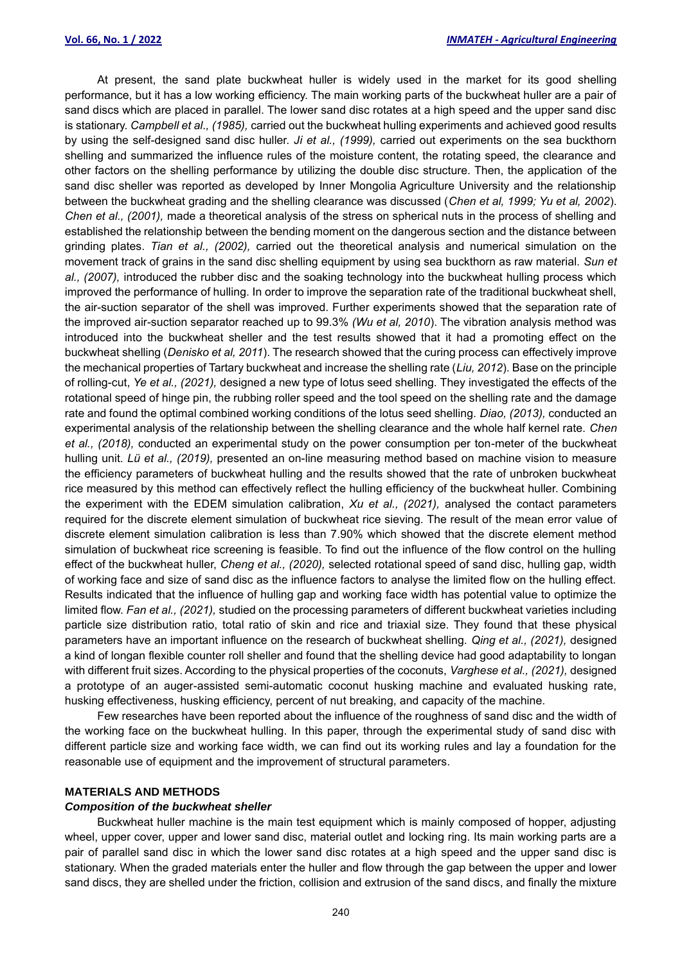At present, the sand plate buckwheat huller is widely used in the market for its good shelling performance, but it has a low working efficiency. The main working parts of the buckwheat huller are a pair of sand discs which are placed in parallel. The lower sand disc rotates at a high speed and the upper sand disc is stationary. *Campbell et al., (1985),* carried out the buckwheat hulling experiments and achieved good results by using the self-designed sand disc huller. *Ji et al., (1999),* carried out experiments on the sea buckthorn shelling and summarized the influence rules of the moisture content, the rotating speed, the clearance and other factors on the shelling performance by utilizing the double disc structure. Then, the application of the sand disc sheller was reported as developed by Inner Mongolia Agriculture University and the relationship between the buckwheat grading and the shelling clearance was discussed (*Chen et al, 1999; Yu et al, 2002*). *Chen et al., (2001),* made a theoretical analysis of the stress on spherical nuts in the process of shelling and established the relationship between the bending moment on the dangerous section and the distance between grinding plates. *Tian et al., (2002),* carried out the theoretical analysis and numerical simulation on the movement track of grains in the sand disc shelling equipment by using sea buckthorn as raw material. *Sun et al., (2007),* introduced the rubber disc and the soaking technology into the buckwheat hulling process which improved the performance of hulling. In order to improve the separation rate of the traditional buckwheat shell, the air-suction separator of the shell was improved. Further experiments showed that the separation rate of the improved air-suction separator reached up to 99.3% *(Wu et al, 2010*). The vibration analysis method was introduced into the buckwheat sheller and the test results showed that it had a promoting effect on the buckwheat shelling (*Denisko et al, 2011*). The research showed that the curing process can effectively improve the mechanical properties of Tartary buckwheat and increase the shelling rate (*Liu, 2012*). Base on the principle of rolling-cut, *Ye et al., (2021),* designed a new type of lotus seed shelling. They investigated the effects of the rotational speed of [hinge](javascript:;) [pin,](javascript:;) the rubbing roller speed and the tool speed on the shelling rate and the damage rate and found the optimal combined working conditions of the lotus seed shelling. *Diao, (2013),* conducted an experimental analysis of the relationship between the shelling clearance and the whole half kernel rate. *Chen et al., (2018),* conducted an experimental study on the power consumption per ton-meter of the buckwheat hulling unit. *Lü et al., (2019),* presented an on-line measuring method based on machine vision to measure the efficiency parameters of buckwheat hulling and the results showed that the rate of unbroken buckwheat rice measured by this method can effectively reflect the hulling efficiency of the buckwheat huller. Combining the experiment with the EDEM simulation calibration, *Xu et al., (2021),* analysed the contact parameters required for the discrete element simulation of buckwheat rice sieving. The result of the mean error value of discrete element simulation calibration is less than 7.90% which showed that the discrete element method simulation of buckwheat rice screening is feasible. To find out the influence of the flow control on the hulling effect of the buckwheat huller, *Cheng et al., (2020),* selected rotational speed of sand disc, hulling gap, width of working face and size of sand disc as the influence factors to analyse the limited flow on the hulling effect. Results indicated that the influence of hulling gap and working face width has potential value to optimize the limited flow. *Fan et al., (2021),* studied on the processing parameters of different buckwheat varieties including particle size distribution ratio, total ratio of skin and rice and triaxial size. They found that these physical parameters have an important influence on the research of buckwheat shelling. *Qing et al., (2021),* designed a kind of longan flexible counter roll sheller and found that the shelling device had good adaptability to longan with different fruit sizes. According to the physical properties of the coconuts, *Varghese et al., (2021),* designed a prototype of an auger-assisted semi-automatic coconut husking machine and evaluated husking rate, husking effectiveness, husking efficiency, percent of nut breaking, and capacity of the machine.

Few researches have been reported about the influence of the roughness of sand disc and the width of the working face on the buckwheat hulling. In this paper, through the experimental study of sand disc with different particle size and working face width, we can find out its working rules and lay a foundation for the reasonable use of equipment and the improvement of structural parameters.

#### **MATERIALS AND METHODS**

## *Composition of the buckwheat sheller*

Buckwheat huller machine is the main test equipment which is mainly composed of hopper, adjusting wheel, upper cover, upper and lower sand disc, material outlet and locking ring. Its main working parts are a pair of parallel sand disc in which the lower sand disc rotates at a high speed and the upper sand disc is stationary. When the graded materials enter the huller and flow through the gap between the upper and lower sand discs, they are shelled under the friction, collision and extrusion of the sand discs, and finally the mixture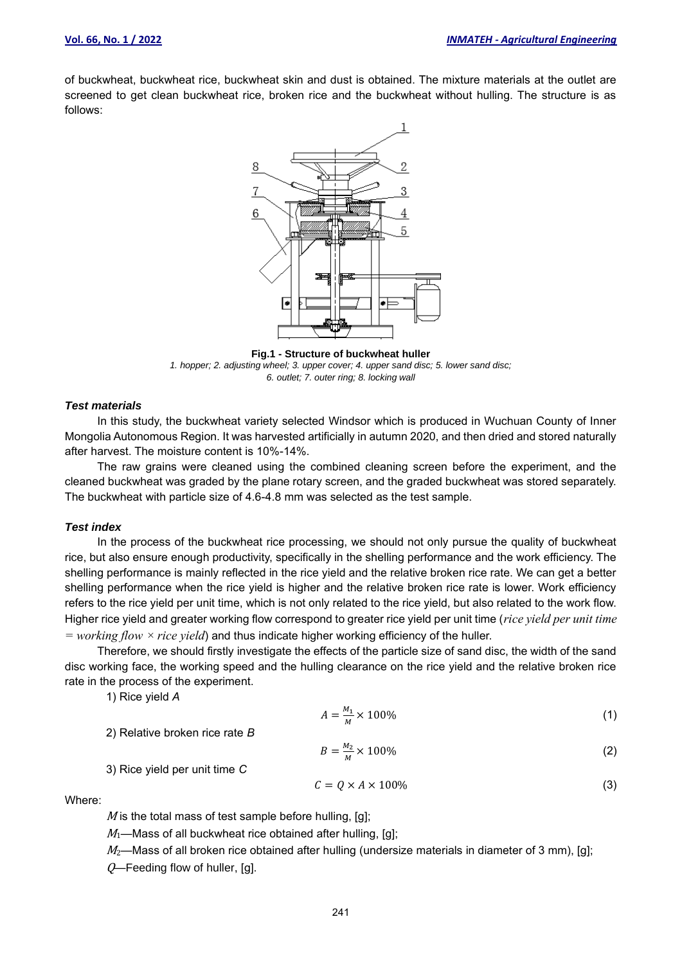of buckwheat, buckwheat rice, buckwheat skin and dust is obtained. The mixture materials at the outlet are screened to get clean buckwheat rice, broken rice and the buckwheat without hulling. The structure is as follows:



**Fig.1 - Structure of buckwheat huller** *1. hopper; 2. adjusting wheel; 3. upper cover; 4. upper sand disc; 5. lower sand disc; 6. outlet; 7. outer ring; 8. locking wall*

## *Test materials*

In this study, the buckwheat variety selected Windsor which is produced in Wuchuan County of Inner Mongolia Autonomous Region. It was harvested artificially in autumn 2020, and then dried and stored naturally after harvest. The moisture content is 10%-14%.

The raw grains were cleaned using the combined cleaning screen before the experiment, and the cleaned buckwheat was graded by the plane rotary screen, and the graded buckwheat was stored separately. The buckwheat with particle size of 4.6-4.8 mm was selected as the test sample.

## *Test index*

In the process of the buckwheat rice processing, we should not only pursue the quality of buckwheat rice, but also ensure enough productivity, specifically in the shelling performance and the work efficiency. The shelling performance is mainly reflected in the rice yield and the relative broken rice rate. We can get a better shelling performance when the rice yield is higher and the relative broken rice rate is lower. Work efficiency refers to the rice yield per unit time, which is not only related to the rice yield, but also related to the work flow. Higher rice yield and greater working flow correspond to greater rice yield per unit time (*rice yield per unit time = working flow × rice yield*) and thus indicate higher working efficiency of the huller.

Therefore, we should firstly investigate the effects of the particle size of sand disc, the width of the sand disc working face, the working speed and the hulling clearance on the rice yield and the relative broken rice rate in the process of the experiment.

1) Rice yield *A*

$$
A = \frac{M_1}{M} \times 100\%
$$
 (1)

$$
B = \frac{M_2}{M} \times 100\%
$$
 (2)

3) Rice yield per unit time *C*

2) Relative broken rice rate *B*

$$
C = Q \times A \times 100\% \tag{3}
$$

Where:

 $M$  is the total mass of test sample before hulling, [q];

 $M_1$ —Mass of all buckwheat rice obtained after hulling, [g];

 $M_2$ —Mass of all broken rice obtained after hulling (undersize materials in diameter of 3 mm), [g];  $Q$ —Feeding flow of huller, [g].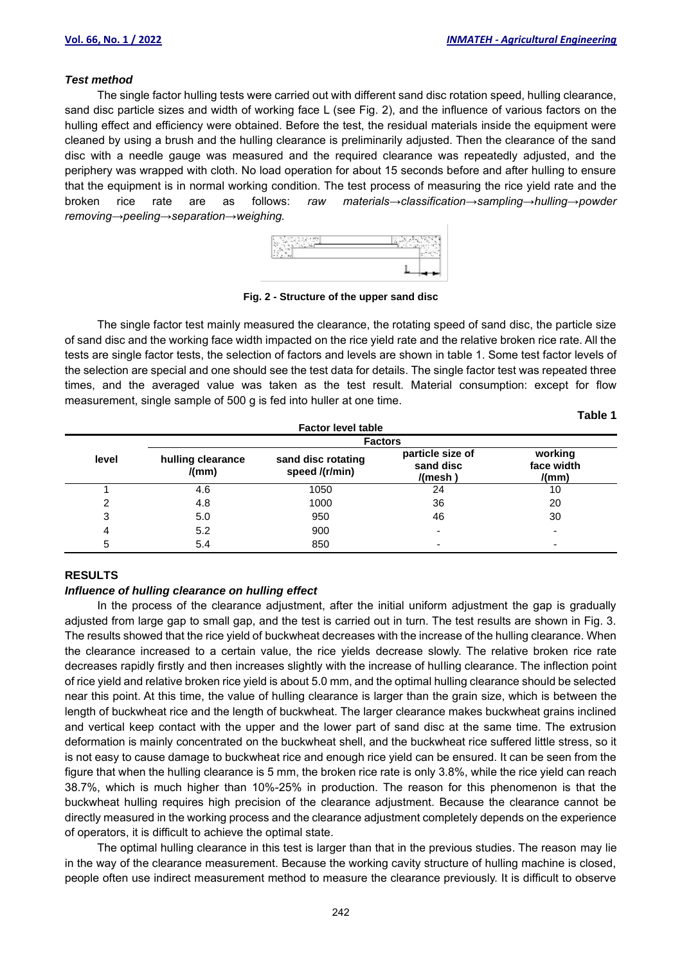## *Test method*

The single factor hulling tests were carried out with different sand disc rotation speed, hulling clearance, sand disc particle sizes and width of working face L (see Fig. 2), and the influence of various factors on the hulling effect and efficiency were obtained. Before the test, the residual materials inside the equipment were cleaned by using a brush and the hulling clearance is preliminarily adjusted. Then the clearance of the sand disc with a needle gauge was measured and the required clearance was repeatedly adjusted, and the periphery was wrapped with cloth. No load operation for about 15 seconds before and after hulling to ensure that the equipment is in normal working condition. The test process of measuring the rice yield rate and the broken rice rate are as follows: *raw materials→classification→sampling→hulling→powder removing→peeling→separation→weighing.*



**Fig. 2 - Structure of the upper sand disc**

The single factor test mainly measured the clearance, the rotating speed of sand disc, the particle size of sand disc and the working face width impacted on the rice yield rate and the relative broken rice rate. All the tests are single factor tests, the selection of factors and levels are shown in table 1. Some test factor levels of the selection are special and one should see the test data for details. The single factor test was repeated three times, and the averaged value was taken as the test result. Material consumption: except for flow measurement, single sample of 500 g is fed into huller at one time.

| . .<br>×<br>۰.<br>M<br>۰. |  |
|---------------------------|--|
|---------------------------|--|

| <b>Factor level table</b> |                            |                                      |                                          |                                |  |  |  |  |
|---------------------------|----------------------------|--------------------------------------|------------------------------------------|--------------------------------|--|--|--|--|
|                           | <b>Factors</b>             |                                      |                                          |                                |  |  |  |  |
| level                     | hulling clearance<br>/(mm) | sand disc rotating<br>speed /(r/min) | particle size of<br>sand disc<br>/(mesh) | working<br>face width<br>/(mm) |  |  |  |  |
|                           | 4.6                        | 1050                                 | 24                                       | 10                             |  |  |  |  |
|                           | 4.8                        | 1000                                 | 36                                       | 20                             |  |  |  |  |
| 3                         | 5.0                        | 950                                  | 46                                       | 30                             |  |  |  |  |
| 4                         | 5.2                        | 900                                  | ٠                                        | $\overline{\phantom{0}}$       |  |  |  |  |
| 5                         | 5.4                        | 850                                  | ۰                                        | $\overline{\phantom{0}}$       |  |  |  |  |

## **RESULTS**

#### *Influence of hulling clearance on hulling effect*

In the process of the clearance adjustment, after the initial uniform adjustment the gap is gradually adjusted from large gap to small gap, and the test is carried out in turn. The test results are shown in Fig. 3. The results showed that the rice yield of buckwheat decreases with the increase of the hulling clearance. When the clearance increased to a certain value, the rice yields decrease slowly. The relative broken rice rate decreases rapidly firstly and then increases slightly with the increase of hulling clearance. The inflection point of rice yield and relative broken rice yield is about 5.0 mm, and the optimal hulling clearance should be selected near this point. At this time, the value of hulling clearance is larger than the grain size, which is between the length of buckwheat rice and the length of buckwheat. The larger clearance makes buckwheat grains inclined and vertical keep contact with the upper and the lower part of sand disc at the same time. The extrusion deformation is mainly concentrated on the buckwheat shell, and the buckwheat rice suffered little stress, so it is not easy to cause damage to buckwheat rice and enough rice yield can be ensured. It can be seen from the figure that when the hulling clearance is 5 mm, the broken rice rate is only 3.8%, while the rice yield can reach 38.7%, which is much higher than 10%-25% in production. The reason for this phenomenon is that the buckwheat hulling requires high precision of the clearance adjustment. Because the clearance cannot be directly measured in the working process and the clearance adjustment completely depends on the experience of operators, it is difficult to achieve the optimal state.

The optimal hulling clearance in this test is larger than that in the previous studies. The reason may lie in the way of the clearance measurement. Because the working cavity structure of hulling machine is closed, people often use indirect measurement method to measure the clearance previously. It is difficult to observe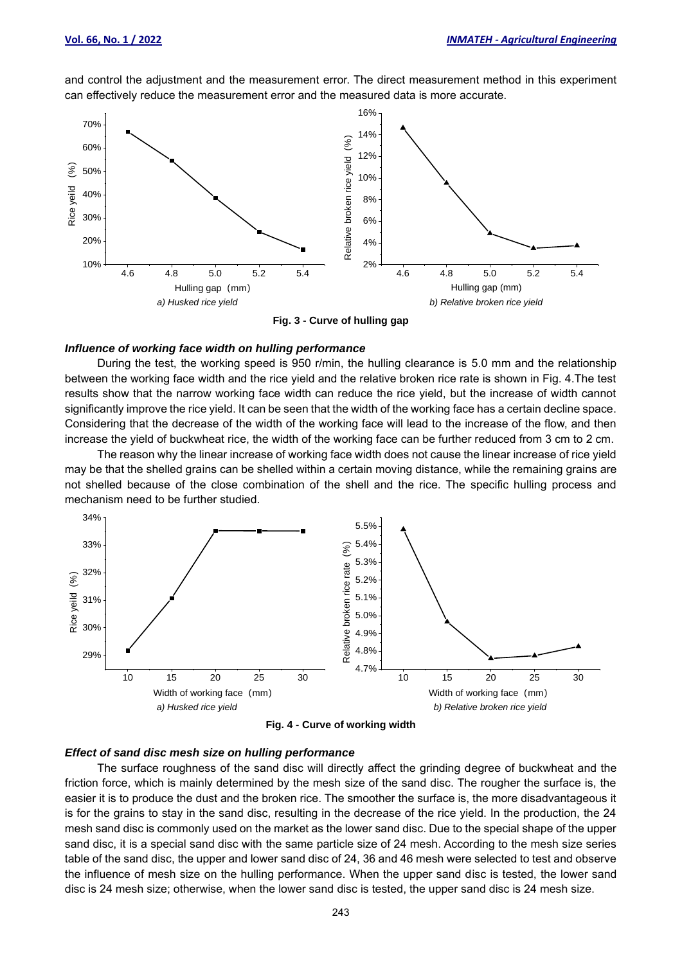and control the adjustment and the measurement error. The direct measurement method in this experiment can effectively reduce the measurement error and the measured data is more accurate.



**Fig. 3 - Curve of hulling gap**

## *Influence of working face width on hulling performance*

During the test, the working speed is 950 r/min, the hulling clearance is 5.0 mm and the relationship between the working face width and the rice yield and the relative broken rice rate is shown in Fig. 4.The test results show that the narrow working face width can reduce the rice yield, but the increase of width cannot significantly improve the rice yield. It can be seen that the width of the working face has a certain decline space. Considering that the decrease of the width of the working face will lead to the increase of the flow, and then increase the yield of buckwheat rice, the width of the working face can be further reduced from 3 cm to 2 cm.

The reason why the linear increase of working face width does not cause the linear increase of rice yield may be that the shelled grains can be shelled within a certain moving distance, while the remaining grains are not shelled because of the close combination of the shell and the rice. The specific hulling process and mechanism need to be further studied.



**Fig. 4 - Curve of working width**

## *Effect of sand disc mesh size on hulling performance*

The surface roughness of the sand disc will directly affect the grinding degree of buckwheat and the friction force, which is mainly determined by the mesh size of the sand disc. The rougher the surface is, the easier it is to produce the dust and the broken rice. The smoother the surface is, the more disadvantageous it is for the grains to stay in the sand disc, resulting in the decrease of the rice yield. In the production, the 24 mesh sand disc is commonly used on the market as the lower sand disc. Due to the special shape of the upper sand disc, it is a special sand disc with the same particle size of 24 mesh. According to the mesh size series table of the sand disc, the upper and lower sand disc of 24, 36 and 46 mesh were selected to test and observe the influence of mesh size on the hulling performance. When the upper sand disc is tested, the lower sand disc is 24 mesh size; otherwise, when the lower sand disc is tested, the upper sand disc is 24 mesh size.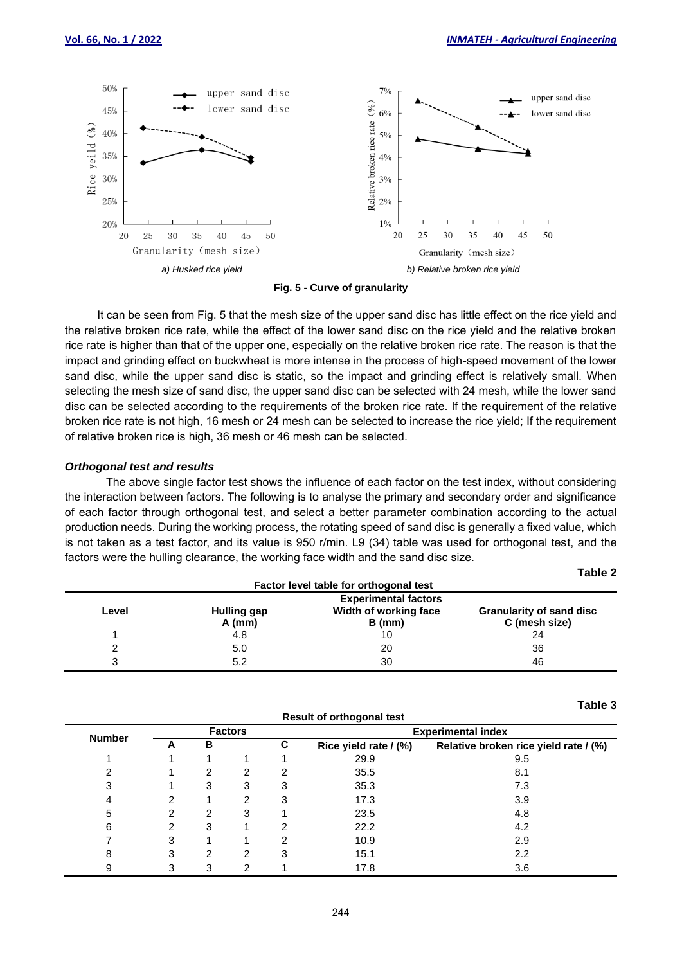

**Fig. 5 - Curve of granularity**

It can be seen from Fig. 5 that the mesh size of the upper sand disc has little effect on the rice yield and the relative broken rice rate, while the effect of the lower sand disc on the rice yield and the relative broken rice rate is higher than that of the upper one, especially on the relative broken rice rate. The reason is that the impact and grinding effect on buckwheat is more intense in the process of high-speed movement of the lower sand disc, while the upper sand disc is static, so the impact and grinding effect is relatively small. When selecting the mesh size of sand disc, the upper sand disc can be selected with 24 mesh, while the lower sand disc can be selected according to the requirements of the broken rice rate. If the requirement of the relative broken rice rate is not high, 16 mesh or 24 mesh can be selected to increase the rice yield; If the requirement of relative broken rice is high, 36 mesh or 46 mesh can be selected.

#### *Orthogonal test and results*

The above single factor test shows the influence of each factor on the test index, without considering the interaction between factors. The following is to analyse the primary and secondary order and significance of each factor through orthogonal test, and select a better parameter combination according to the actual production needs. During the working process, the rotating speed of sand disc is generally a fixed value, which is not taken as a test factor, and its value is 950 r/min. L9 (34) table was used for orthogonal test, and the factors were the hulling clearance, the working face width and the sand disc size.

| ۰.<br>M<br>۰. |  |
|---------------|--|
|---------------|--|

**Table 3**

| Factor level table for orthogonal test |                                |                                   |                                                  |  |  |  |  |
|----------------------------------------|--------------------------------|-----------------------------------|--------------------------------------------------|--|--|--|--|
|                                        | <b>Experimental factors</b>    |                                   |                                                  |  |  |  |  |
| Level                                  | <b>Hulling gap</b><br>$A$ (mm) | Width of working face<br>$B$ (mm) | <b>Granularity of sand disc</b><br>C (mesh size) |  |  |  |  |
|                                        | 4.8                            | 10                                | 24                                               |  |  |  |  |
|                                        | 5.0                            | 20                                | 36                                               |  |  |  |  |
|                                        | 5.2                            | 30                                | 46                                               |  |  |  |  |

|               |   |                |   |   |   | Result of orthogonal test |                                       |  |
|---------------|---|----------------|---|---|---|---------------------------|---------------------------------------|--|
| <b>Number</b> |   | <b>Factors</b> |   |   |   | <b>Experimental index</b> |                                       |  |
|               |   | A              | в |   | C | Rice yield rate / (%)     | Relative broken rice yield rate / (%) |  |
|               |   |                |   |   |   | 29.9                      | 9.5                                   |  |
|               | っ |                | 2 | 2 | 2 | 35.5                      | 8.1                                   |  |
|               | 3 |                | 3 | 3 | 3 | 35.3                      | 7.3                                   |  |
|               |   | 2              |   | 2 | 3 | 17.3                      | 3.9                                   |  |
|               | 5 | 2              | 2 | 3 |   | 23.5                      | 4.8                                   |  |
|               | 6 | 2              | 3 |   | 2 | 22.2                      | 4.2                                   |  |
|               |   | 3              |   |   | 2 | 10.9                      | 2.9                                   |  |
|               | 8 | 3              | 2 | 2 | 3 | 15.1                      | 2.2                                   |  |
|               | 9 | 3              | 3 | 2 |   | 17.8                      | 3.6                                   |  |

**Result of orthogonal test**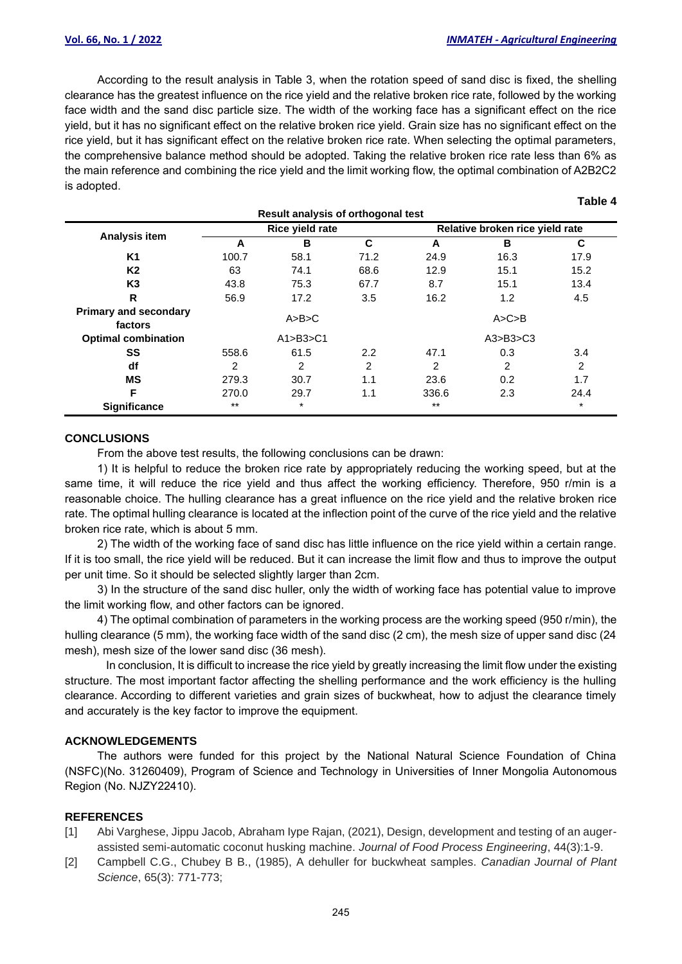**Table 4**

According to the result analysis in Table 3, when the rotation speed of sand disc is fixed, the shelling clearance has the greatest influence on the rice yield and the relative broken rice rate, followed by the working face width and the sand disc particle size. The width of the working face has a significant effect on the rice yield, but it has no significant effect on the relative broken rice yield. Grain size has no significant effect on the rice yield, but it has significant effect on the relative broken rice rate. When selecting the optimal parameters, the comprehensive balance method should be adopted. Taking the relative broken rice rate less than 6% as the main reference and combining the rice yield and the limit working flow, the optimal combination of A2B2C2 is adopted.

| Result analysis of orthogonal test      |                 |        |                |                                 |      |         |  |  |
|-----------------------------------------|-----------------|--------|----------------|---------------------------------|------|---------|--|--|
|                                         | Rice yield rate |        |                | Relative broken rice yield rate |      |         |  |  |
| Analysis item                           | A               | в      | C              | A                               | B    | C       |  |  |
| K1                                      | 100.7           | 58.1   | 71.2           | 24.9                            | 16.3 | 17.9    |  |  |
| K <sub>2</sub>                          | 63              | 74.1   | 68.6           | 12.9                            | 15.1 | 15.2    |  |  |
| K <sub>3</sub>                          | 43.8            | 75.3   | 67.7           | 8.7                             | 15.1 | 13.4    |  |  |
| R                                       | 56.9            | 17.2   | 3.5            | 16.2                            | 1.2  | 4.5     |  |  |
| <b>Primary and secondary</b><br>factors | A>B>C           |        |                | A > C > B                       |      |         |  |  |
| <b>Optimal combination</b>              | A1>B3>C1        |        | A3>B3>C3       |                                 |      |         |  |  |
| SS                                      | 558.6           | 61.5   | 2.2            | 47.1                            | 0.3  | 3.4     |  |  |
| df                                      | 2               | 2      | $\overline{2}$ | 2                               | 2    | 2       |  |  |
| ΜS                                      | 279.3           | 30.7   | 1.1            | 23.6                            | 0.2  | 1.7     |  |  |
| F                                       | 270.0           | 29.7   | 1.1            | 336.6                           | 2.3  | 24.4    |  |  |
| <b>Significance</b>                     | $***$           | $\ast$ |                | $***$                           |      | $\star$ |  |  |

#### **CONCLUSIONS**

From the above test results, the following conclusions can be drawn:

1) It is helpful to reduce the broken rice rate by appropriately reducing the working speed, but at the same time, it will reduce the rice yield and thus affect the working efficiency. Therefore, 950 r/min is a reasonable choice. The hulling clearance has a great influence on the rice yield and the relative broken rice rate. The optimal hulling clearance is located at the inflection point of the curve of the rice yield and the relative broken rice rate, which is about 5 mm.

2) The width of the working face of sand disc has little influence on the rice yield within a certain range. If it is too small, the rice yield will be reduced. But it can increase the limit flow and thus to improve the output per unit time. So it should be selected slightly larger than 2cm.

3) In the structure of the sand disc huller, only the width of working face has potential value to improve the limit working flow, and other factors can be ignored.

4) The optimal combination of parameters in the working process are the working speed (950 r/min), the hulling clearance (5 mm), the working face width of the sand disc (2 cm), the mesh size of upper sand disc (24 mesh), mesh size of the lower sand disc (36 mesh).

In conclusion, It is difficult to increase the rice yield by greatly increasing the limit flow under the existing structure. The most important factor affecting the shelling performance and the work efficiency is the hulling clearance. According to different varieties and grain sizes of buckwheat, how to adjust the clearance timely and accurately is the key factor to improve the equipment.

### **ACKNOWLEDGEMENTS**

The authors were funded for this project by the National Natural Science Foundation of China (NSFC)(No. 31260409), Program of Science and Technology in Universities of Inner Mongolia Autonomous Region (No. NJZY22410).

#### **REFERENCES**

- [1] Abi Varghese, Jippu Jacob, Abraham Iype Rajan, (2021), Design, development and testing of an augerassisted semi-automatic coconut husking machine. *Journal of Food Process Engineering*, 44(3):1-9.
- [2] Campbell C.G., Chubey B B., (1985), A dehuller for buckwheat samples. *Canadian Journal of Plant Science*, 65(3): 771-773;